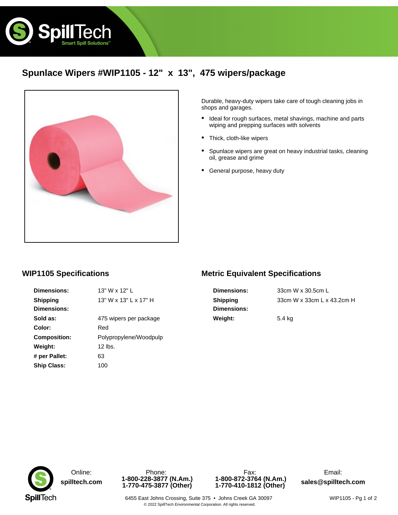

# **Spunlace Wipers #WIP1105 - 12" x 13", 475 wipers/package**



Durable, heavy-duty wipers take care of tough cleaning jobs in shops and garages.

- Ideal for rough surfaces, metal shavings, machine and parts wiping and prepping surfaces with solvents
- Thick, cloth-like wipers
- Spunlace wipers are great on heavy industrial tasks, cleaning oil, grease and grime •
- General purpose, heavy duty

### **WIP1105 Specifications**

| Dimensions:         | 13" W x 12" L               |
|---------------------|-----------------------------|
| Shipping            | $13"$ W x $13"$ L x $17"$ H |
| Dimensions:         |                             |
| Sold as:            | 475 wipers per package      |
| Color:              | Red                         |
| <b>Composition:</b> | Polypropylene/Woodpulp      |
| Weight:             | $12$ lbs.                   |
| # per Pallet:       | 63                          |
| <b>Ship Class:</b>  | 100                         |

### **Metric Equivalent Specifications**

| <b>Dimensions:</b> | 33cm W x 30.5cm L          |
|--------------------|----------------------------|
| Shipping           | 33cm W x 33cm L x 43.2cm H |
| <b>Dimensions:</b> |                            |
| Weight:            | 5.4 kg                     |